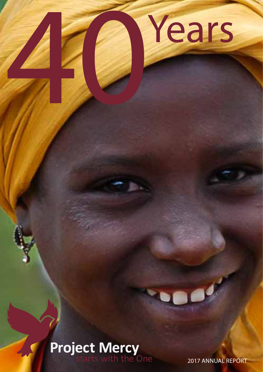

# **Project Mercy**<br>starts with the One

2017 ANNUAL REPORT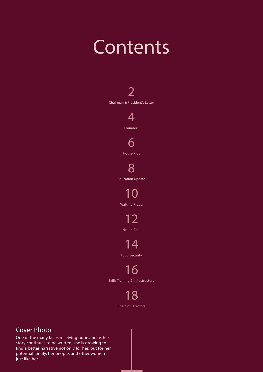## **Contents**



18 Board of Directors

#### Cover Photo

One of the many faces receiving hope and as her story continues to be written, she is growing to find a better narrative not only for her, but for her potential family, her people, and other women just like her.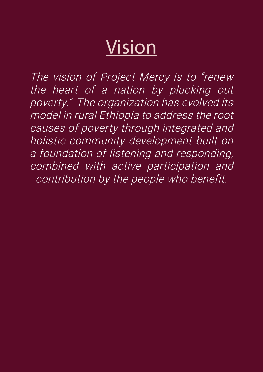## Vision

The vision of Project Mercy is to "renew the heart of a nation by plucking out poverty." The organization has evolved its model in rural Ethiopia to address the root causes of poverty through integrated and holistic community development built on a foundation of listening and responding, combined with active participation and contribution by the people who benefit.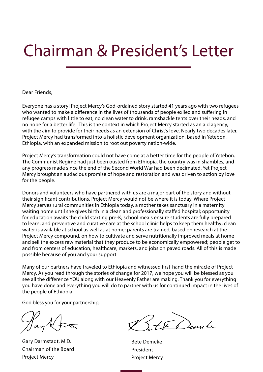## Chairman & President's Letter

Dear Friends,

Everyone has a story! Project Mercy's God-ordained story started 41 years ago with two refugees who wanted to make a difference in the lives of thousands of people exiled and suffering in refugee camps with little to eat, no clean water to drink, ramshackle tents over their heads, and no hope for a better life. This is the context in which Project Mercy started as an aid agency, with the aim to provide for their needs as an extension of Christ's love. Nearly two decades later, Project Mercy had transformed into a holistic development organization, based in Yetebon, Ethiopia, with an expanded mission to root out poverty nation-wide.

Project Mercy's transformation could not have come at a better time for the people of Yetebon. The Communist Regime had just been ousted from Ethiopia, the country was in shambles, and any progress made since the end of the Second World War had been decimated. Yet Project Mercy brought an audacious promise of hope and restoration and was driven to action by love for the people.

Donors and volunteers who have partnered with us are a major part of the story and without their significant contributions, Project Mercy would not be where it is today. Where Project Mercy serves rural communities in Ethiopia today, a mother takes sanctuary in a maternity waiting home until she gives birth in a clean and professionally staffed hospital; opportunity for education awaits the child starting pre-K; school meals ensure students are fully prepared to learn, and preventive and curative care at the school clinic helps to keep them healthy; clean water is available at school as well as at home; parents are trained, based on research at the Project Mercy compound, on how to cultivate and serve nutritionally improved meals at home and sell the excess raw material that they produce to be economically empowered; people get to and from centers of education, healthcare, markets, and jobs on paved roads. All of this is made possible because of you and your support.

Many of our partners have traveled to Ethiopia and witnessed first-hand the miracle of Project Mercy. As you read through the stories of change for 2017, we hope you will be blessed as you see all the difference YOU along with our Heavenly Father are making. Thank you for everything you have done and everything you will do to partner with us for continued impact in the lives of the people of Ethiopia.

God bless you for your partnership,

Gary Darmstadt, M.D. Chairman of the Board Project Mercy

E la Dennete

Bete Demeke President Project Mercy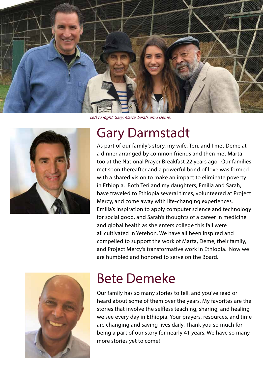

Left to Right: Gary, Marta, Sarah, amd Deme.



### Gary Darmstadt

As part of our family's story, my wife, Teri, and I met Deme at a dinner arranged by common friends and then met Marta too at the National Prayer Breakfast 22 years ago. Our families met soon thereafter and a powerful bond of love was formed with a shared vision to make an impact to eliminate poverty in Ethiopia. Both Teri and my daughters, Emilia and Sarah, have traveled to Ethiopia several times, volunteered at Project Mercy, and come away with life-changing experiences. Emilia's inspiration to apply computer science and technology for social good, and Sarah's thoughts of a career in medicine and global health as she enters college this fall were all cultivated in Yetebon. We have all been inspired and compelled to support the work of Marta, Deme, their family, and Project Mercy's transformative work in Ethiopia. Now we are humbled and honored to serve on the Board.



## Bete Demeke

Our family has so many stories to tell, and you've read or heard about some of them over the years. My favorites are the stories that involve the selfless teaching, sharing, and healing we see every day in Ethiopia. Your prayers, resources, and time are changing and saving lives daily. Thank you so much for being a part of our story for nearly 41 years. We have so many more stories yet to come!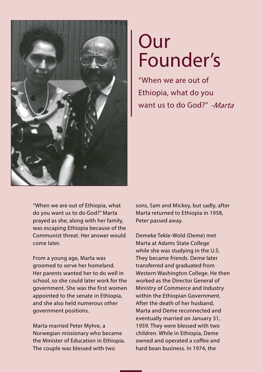

## **Our** Founder's

want us to do God?" -Marta "When we are out of Ethiopia, what do you

"When we are out of Ethiopia, what do you want us to do God?" Marta prayed as she, along with her family, was escaping Ethiopia because of the Communist threat. Her answer would come later.

From a young age, Marta was groomed to serve her homeland. Her parents wanted her to do well in school, so she could later work for the government. She was the first women appointed to the senate in Ethiopia, and she also held numerous other government positions.

Marta married Peter Myhre, a Norwegian missionary who became the Minister of Education in Ethiopia. The couple was blessed with two

sons, Sam and Mickey, but sadly, after Marta returned to Ethiopia in 1958, Peter passed away.

Demeke Tekle-Wold (Deme) met Marta at Adams State College while she was studying in the U.S. They became friends. Deme later transferred and graduated from Western Washington College. He then worked as the Director General of Ministry of Commerce and Industry within the Ethiopian Government. After the death of her husband, Marta and Deme reconnected and eventually married on January 31, 1959. They were blessed with two children. While in Ethiopia, Deme owned and operated a coffee and hard bean business. In 1974, the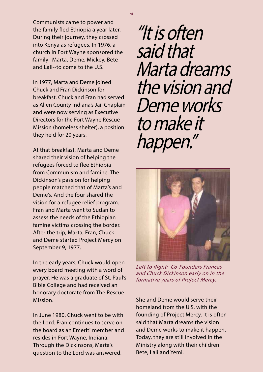Communists came to power and the family fled Ethiopia a year later. During their journey, they crossed into Kenya as refugees. In 1976, a church in Fort Wayne sponsored the family--Marta, Deme, Mickey, Bete and Lali--to come to the U.S.

In 1977, Marta and Deme joined Chuck and Fran Dickinson for breakfast. Chuck and Fran had served as Allen County Indiana's Jail Chaplain and were now serving as Executive Directors for the Fort Wayne Rescue Mission (homeless shelter), a position they held for 20 years.

At that breakfast, Marta and Deme shared their vision of helping the refugees forced to flee Ethiopia from Communism and famine. The Dickinson's passion for helping people matched that of Marta's and Deme's. And the four shared the vision for a refugee relief program. Fran and Marta went to Sudan to assess the needs of the Ethiopian famine victims crossing the border. After the trip, Marta, Fran, Chuck and Deme started Project Mercy on September 9, 1977.

In the early years, Chuck would open every board meeting with a word of prayer. He was a graduate of St. Paul's Bible College and had received an honorary doctorate from The Rescue Mission.

In June 1980, Chuck went to be with the Lord. Fran continues to serve on the board as an Emeriti member and resides in Fort Wayne, Indiana. Through the Dickinsons, Marta's question to the Lord was answered.

"It is often said that Marta dreams the vision and Deme works to make it happen."



Left to Right: Co-Founders Frances and Chuck Dickinson early on in the formative years of Project Mercy.

She and Deme would serve their homeland from the U.S. with the founding of Project Mercy. It is often said that Marta dreams the vision and Deme works to make it happen. Today, they are still involved in the Ministry along with their children Bete, Lali and Yemi.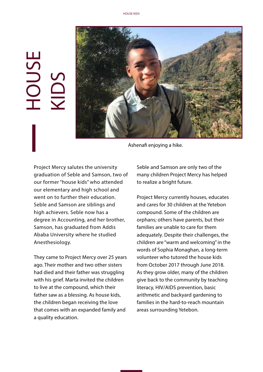# HOUSE KIDS



Ashenafi enjoying a hike.

Project Mercy salutes the university graduation of Seble and Samson, two of our former "house kids" who attended our elementary and high school and went on to further their education. Seble and Samson are siblings and high achievers. Seble now has a degree in Accounting, and her brother, Samson, has graduated from Addis Ababa University where he studied Anesthesiology.

They came to Project Mercy over 25 years ago. Their mother and two other sisters had died and their father was struggling with his grief. Marta invited the children to live at the compound, which their father saw as a blessing. As house kids, the children began receiving the love that comes with an expanded family and a quality education.

Seble and Samson are only two of the many children Project Mercy has helped to realize a bright future.

Project Mercy currently houses, educates and cares for 30 children at the Yetebon compound. Some of the children are orphans; others have parents, but their families are unable to care for them adequately. Despite their challenges, the children are "warm and welcoming" in the words of Sophia Monaghan, a long-term volunteer who tutored the house kids from October 2017 through June 2018. As they grow older, many of the children give back to the community by teaching literacy, HIV/AIDS prevention, basic arithmetic and backyard gardening to families in the hard-to-reach mountain areas surrounding Yetebon.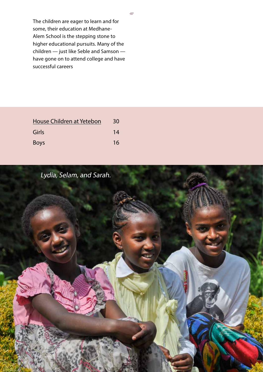The children are eager to learn and for some, their education at Medhane-Alem School is the stepping stone to higher educational pursuits. Many of the children — just like Seble and Samson have gone on to attend college and have successful careers

| House Children at Yetebon | 30 |
|---------------------------|----|
| Girls                     | 14 |
| <b>Boys</b>               | 16 |



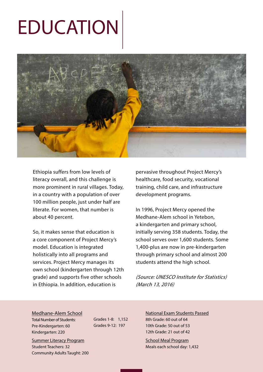## EDUCATION



Ethiopia suffers from low levels of literacy overall, and this challenge is more prominent in rural villages. Today, in a country with a population of over 100 million people, just under half are literate. For women, that number is about 40 percent.

So, it makes sense that education is a core component of Project Mercy's model. Education is integrated holistically into all programs and services. Project Mercy manages its own school (kindergarten through 12th grade) and supports five other schools in Ethiopia. In addition, education is

pervasive throughout Project Mercy's healthcare, food security, vocational training, child care, and infrastructure development programs.

In 1996, Project Mercy opened the Medhane-Alem school in Yetebon, a kindergarten and primary school, initially serving 358 students. Today, the school serves over 1,600 students. Some 1,400-plus are now in pre-kindergarten through primary school and almost 200 students attend the high school.

(Source: UNESCO Institute for Statistics) (March 13, 2016)

#### Medhane-Alem School

Total Number of Students: Pre-Kindergarten: 60 Kindergarten: 220

Summer Literacy Program Student Teachers: 32 Community Adults Taught: 200 Grades 1-8: 1,152 Grades 9-12: 197

National Exam Students Passed 8th Grade: 60 out of 64 10th Grade: 50 out of 53 12th Grade: 21 out of 42

School Meal Program Meals each school day: 1,432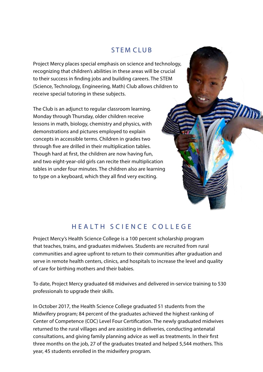### STEM CLUB

Project Mercy places special emphasis on science and technology, recognizing that children's abilities in these areas will be crucial to their success in finding jobs and building careers. The STEM (Science, Technology, Engineering, Math) Club allows children to receive special tutoring in these subjects.

The Club is an adjunct to regular classroom learning. Monday through Thursday, older children receive lessons in math, biology, chemistry and physics, with demonstrations and pictures employed to explain concepts in accessible terms. Children in grades two through five are drilled in their multiplication tables. Though hard at first, the children are now having fun, and two eight-year-old girls can recite their multiplication tables in under four minutes. The children also are learning to type on a keyboard, which they all find very exciting.

### HEALTH SCIENCE COLLEGE

Project Mercy's Health Science College is a 100 percent scholarship program that teaches, trains, and graduates midwives. Students are recruited from rural communities and agree upfront to return to their communities after graduation and serve in remote health centers, clinics, and hospitals to increase the level and quality of care for birthing mothers and their babies.

To date, Project Mercy graduated 68 midwives and delivered in-service training to 530 professionals to upgrade their skills.

In October 2017, the Health Science College graduated 51 students from the Midwifery program; 84 percent of the graduates achieved the highest ranking of Center of Competence (COC) Level Four Certification. The newly graduated midwives returned to the rural villages and are assisting in deliveries, conducting antenatal consultations, and giving family planning advice as well as treatments. In their first three months on the job, 27 of the graduates treated and helped 5,544 mothers. This year, 45 students enrolled in the midwifery program.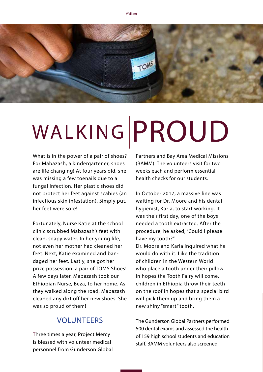

# WALKING PROUD

What is in the power of a pair of shoes? For Mabazash, a kindergartener, shoes are life changing! At four years old, she was missing a few toenails due to a fungal infection. Her plastic shoes did not protect her feet against scabies (an infectious skin infestation). Simply put, her feet were sore!

Fortunately, Nurse Katie at the school clinic scrubbed Mabazash's feet with clean, soapy water. In her young life, not even her mother had cleaned her feet. Next, Katie examined and bandaged her feet. Lastly, she got her prize possession: a pair of TOMS Shoes! A few days later, Mabazash took our Ethiopian Nurse, Beza, to her home. As they walked along the road, Mabazash cleaned any dirt off her new shoes. She was so proud of them!

### VOLUNTEERS

Three times a year, Project Mercy is blessed with volunteer medical personnel from Gunderson Global Partners and Bay Area Medical Missions (BAMM). The volunteers visit for two weeks each and perform essential health checks for our students.

In October 2017, a massive line was waiting for Dr. Moore and his dental hygienist, Karla, to start working. It was their first day, one of the boys needed a tooth extracted. After the procedure, he asked, "Could I please have my tooth?" Dr. Moore and Karla inquired what he

would do with it. Like the tradition of children in the Western World who place a tooth under their pillow in hopes the Tooth Fairy will come, children in Ethiopia throw their teeth on the roof in hopes that a special bird will pick them up and bring them a new shiny "smart" tooth.

The Gunderson Global Partners performed 500 dental exams and assessed the health of 159 high school students and education staff. BAMM volunteers also screened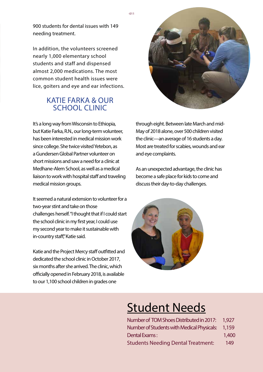900 students for dental issues with 149 needing treatment.

In addition, the volunteers screened nearly 1,000 elementary school students and staff and dispensed almost 2,000 medications. The most common student health issues were lice, goiters and eye and ear infections.

### KATIE FARKA & OUR SCHOOL CLINIC

It's a long way from Wisconsin to Ethiopia, but Katie Farka, R.N., our long-term volunteer, has been interested in medical mission work since college. She twice visited Yetebon, as a Gundersen Global Partner volunteer on short missions and saw a need for a clinic at Medhane-Alem School, as well as a medical liaison to work with hospital staff and traveling medical mission groups.

It seemed a natural extension to volunteer for a two-year stint and take on those challenges herself. "I thought that if I could start the school clinic in my first year, I could use my second year to make it sustainable with in-country staff," Katie said.

Katie and the Project Mercy staff outfitted and dedicated the school clinic in October 2017, six months after she arrived. The clinic, which officially opened in February 2018, is available to our 1,100 school children in grades one



through eight. Between late March and mid-May of 2018 alone, over 500 children visited the clinic—an average of 16 students a day. Most are treated for scabies, wounds and ear and eye complaints.

As an unexpected advantage, the clinic has become a safe place for kids to come and discuss their day-to-day challenges.



### Student Needs

| Number of TOM Shoes Distributed in 2017: 1,927 |       |
|------------------------------------------------|-------|
| Number of Students with Medical Physicals:     | 1,159 |
| Dental Exams:                                  | 1,400 |
| <b>Students Needing Dental Treatment:</b>      | 149   |

 $-011$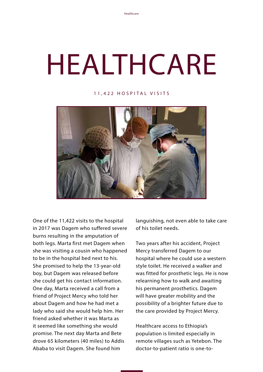# HEALTHCARE

#### 11,422 HOSPITAL VISITS



One of the 11,422 visits to the hospital in 2017 was Dagem who suffered severe burns resulting in the amputation of both legs. Marta first met Dagem when she was visiting a cousin who happened to be in the hospital bed next to his. She promised to help the 13-year-old boy, but Dagem was released before she could get his contact information. One day, Marta received a call from a friend of Project Mercy who told her about Dagem and how he had met a lady who said she would help him. Her friend asked whether it was Marta as it seemed like something she would promise. The next day Marta and Bete drove 65 kilometers (40 miles) to Addis Ababa to visit Dagem. She found him

languishing, not even able to take care of his toilet needs.

Two years after his accident, Project Mercy transferred Dagem to our hospital where he could use a western style toilet. He received a walker and was fitted for prosthetic legs. He is now relearning how to walk and awaiting his permanent prosthetics. Dagem will have greater mobility and the possibility of a brighter future due to the care provided by Project Mercy.

Healthcare access to Ethiopia's population is limited especially in remote villages such as Yetebon. The doctor-to-patient ratio is one-to-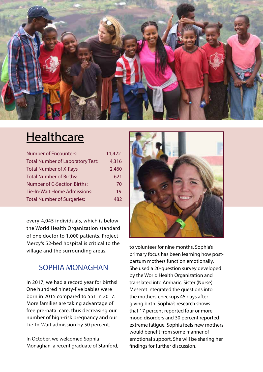

### **Healthcare**

| <b>Number of Encounters:</b>            | 11,422 |
|-----------------------------------------|--------|
| <b>Total Number of Laboratory Test:</b> | 4,316  |
| <b>Total Number of X-Rays</b>           | 2,460  |
| <b>Total Number of Births:</b>          | 621    |
| <b>Number of C-Section Births:</b>      | 70     |
| Lie-In-Wait Home Admissions:            | 19     |
| <b>Total Number of Surgeries:</b>       | 482    |

every-4,045 individuals, which is below the World Health Organization standard of one doctor to 1,000 patients. Project Mercy's 52-bed hospital is critical to the village and the surrounding areas.

### SOPHIA MONAGHAN

In 2017, we had a record year for births! One hundred ninety-five babies were born in 2015 compared to 551 in 2017. More families are taking advantage of free pre-natal care, thus decreasing our number of high-risk pregnancy and our Lie-In-Wait admission by 50 percent.

In October, we welcomed Sophia Monaghan, a recent graduate of Stanford,



to volunteer for nine months. Sophia's primary focus has been learning how postpartum mothers function emotionally. She used a 20-question survey developed by the World Health Organization and translated into Amharic. Sister (Nurse) Meseret integrated the questions into the mothers' checkups 45 days after giving birth. Sophia's research shows that 17 percent reported four or more mood disorders and 30 percent reported extreme fatigue. Sophia feels new mothers would benefit from some manner of emotional support. She will be sharing her findings for further discussion.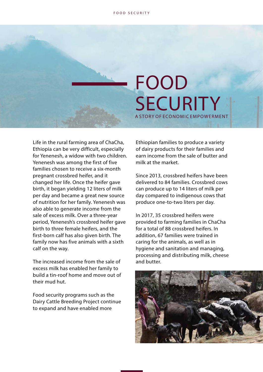## FOOD SECURITY A STORY OF ECONOMIC EMPOWERMENT

Life in the rural farming area of ChaCha, Ethiopia can be very difficult, especially for Yenenesh, a widow with two children. Yenenesh was among the first of five families chosen to receive a six-month pregnant crossbred heifer, and it changed her life. Once the heifer gave birth, it began yielding 12 liters of milk per day and became a great new source of nutrition for her family. Yenenesh was also able to generate income from the sale of excess milk. Over a three-year period, Yenenesh's crossbred heifer gave birth to three female heifers, and the first-born calf has also given birth. The family now has five animals with a sixth calf on the way.

The increased income from the sale of excess milk has enabled her family to build a tin-roof home and move out of their mud hut.

Food security programs such as the Dairy Cattle Breeding Project continue to expand and have enabled more

Ethiopian families to produce a variety of dairy products for their families and earn income from the sale of butter and milk at the market.

Since 2013, crossbred heifers have been delivered to 84 families. Crossbred cows can produce up to 14 liters of milk per day compared to indigenous cows that produce one-to-two liters per day.

In 2017, 35 crossbred heifers were provided to farming families in ChaCha for a total of 88 crossbred heifers. In addition, 67 families were trained in caring for the animals, as well as in hygiene and sanitation and managing, processing and distributing milk, cheese and butter.

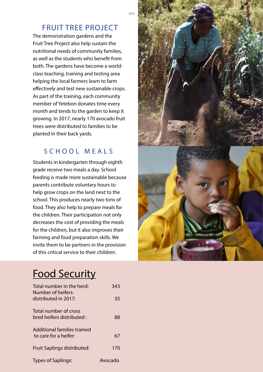### FRUIT TREE PROJECT

The demonstration gardens and the Fruit Tree Project also help sustain the nutritional needs of community families, as well as the students who benefit from both. The gardens have become a worldclass teaching, training and testing area helping the local farmers learn to farm effectively and test new sustainable crops. As part of the training, each community member of Yetebon donates time every month and tends to the garden to keep it growing. In 2017, nearly 170 avocado fruit trees were distributed to families to be planted in their back yards.

### SCHOOL MEALS

Students in kindergarten through eighth grade receive two meals a day. School feeding is made more sustainable because parents contribute voluntary hours to help grow crops on the land next to the school. This produces nearly two tons of food. They also help to prepare meals for the children. Their participation not only decreases the cost of providing the meals for the children, but it also improves their farming and food preparation skills. We invite them to be partners in the provision of this critical service to their children.



### Food Security

| Total number in the herd:<br>Number of heifers-      | 343     |
|------------------------------------------------------|---------|
| distributed in 2017:                                 | 35      |
| Total number of cross<br>bred heifers distributed :  | 88      |
| Additional families trained<br>to care for a heifer: | 67      |
| Fruit Saplings distributed:                          | 170     |
| <b>Types of Saplings:</b>                            | Avocado |

 $-015$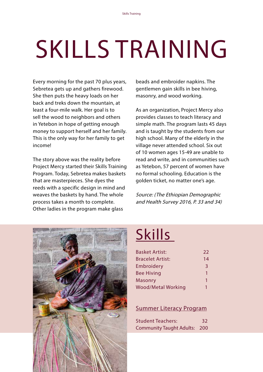# SKILLS TRAINING

Every morning for the past 70 plus years, Sebretea gets up and gathers firewood. She then puts the heavy loads on her back and treks down the mountain, at least a four-mile walk. Her goal is to sell the wood to neighbors and others in Yetebon in hope of getting enough money to support herself and her family. This is the only way for her family to get income!

The story above was the reality before Project Mercy started their Skills Training Program. Today, Sebretea makes baskets that are masterpieces. She dyes the reeds with a specific design in mind and weaves the baskets by hand. The whole process takes a month to complete. Other ladies in the program make glass

beads and embroider napkins. The gentlemen gain skills in bee hiving, masonry, and wood working.

As an organization, Project Mercy also provides classes to teach literacy and simple math. The program lasts 45 days and is taught by the students from our high school. Many of the elderly in the village never attended school. Six out of 10 women ages 15-49 are unable to read and write, and in communities such as Yetebon, 57 percent of women have no formal schooling. Education is the golden ticket, no matter one's age.

Source: (The Ethiopian Demographic and Health Survey 2016, P. 33 and 34)



## **Skills**

| <b>Basket Artist:</b>     | 22           |
|---------------------------|--------------|
| <b>Bracelet Artist:</b>   | 14           |
| Embroidery                | 3            |
| <b>Bee Hiving</b>         | 1            |
| <b>Masonry</b>            | $\mathbf{1}$ |
| <b>Wood/Metal Working</b> |              |

#### Summer Literacy Program

| <b>Student Teachers:</b>            | 32 |
|-------------------------------------|----|
| <b>Community Taught Adults: 200</b> |    |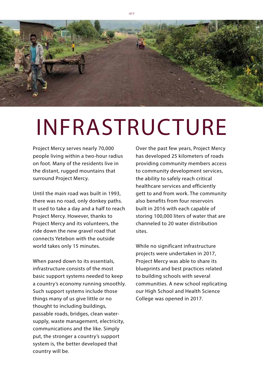

## INFRASTRUCTURE

Project Mercy serves nearly 70,000 people living within a two-hour radius on foot. Many of the residents live in the distant, rugged mountains that surround Project Mercy.

Until the main road was built in 1993, there was no road, only donkey paths. It used to take a day and a half to reach Project Mercy. However, thanks to Project Mercy and its volunteers, the ride down the new gravel road that connects Yetebon with the outside world takes only 15 minutes.

When pared down to its essentials, infrastructure consists of the most basic support systems needed to keep a country's economy running smoothly. Such support systems include those things many of us give little or no thought to including buildings, passable roads, bridges, clean watersupply, waste management, electricity, communications and the like. Simply put, the stronger a country's support system is, the better developed that country will be.

Over the past few years, Project Mercy has developed 25 kilometers of roads providing community members access to community development services, the ability to safely reach critical healthcare services and efficiently gett to and from work. The community also benefits from four reservoirs built in 2016 with each capable of storing 100,000 liters of water that are channeled to 20 water distribution sites.

While no significant infrastructure projects were undertaken in 2017, Project Mercy was able to share its blueprints and best practices related to building schools with several communities. A new school replicating our High School and Health Science College was opened in 2017.